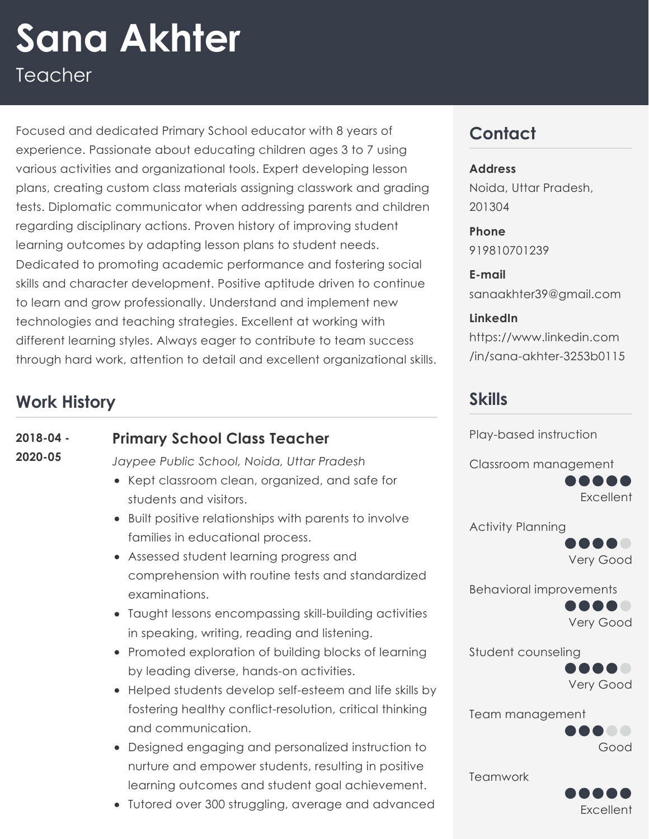# Teacher **Sana Akhter**

Focused and dedicated Primary School educator with 8 years of experience. Passionate about educating children ages 3 to 7 using various activities and organizational tools. Expert developing lesson plans, creating custom class materials assigning classwork and grading tests. Diplomatic communicator when addressing parents and children regarding disciplinary actions. Proven history of improving student learning outcomes by adapting lesson plans to student needs. Dedicated to promoting academic performance and fostering social skills and character development. Positive aptitude driven to continue to learn and grow professionally. Understand and implement new technologies and teaching strategies. Excellent at working with different learning styles. Always eager to contribute to team success through hard work, attention to detail and excellent organizational skills.

## **Work History**

#### **Primary School Class Teacher 2018-04 -**

**2020-05**

*Jaypee Public School, Noida, Uttar Pradesh*

- Kept classroom clean, organized, and safe for students and visitors.
- Built positive relationships with parents to involve families in educational process.
- Assessed student learning progress and comprehension with routine tests and standardized examinations.
- Taught lessons encompassing skill-building activities in speaking, writing, reading and listening.
- Promoted exploration of building blocks of learning by leading diverse, hands-on activities.
- Helped students develop self-esteem and life skills by fostering healthy conflict-resolution, critical thinking and communication.
- Designed engaging and personalized instruction to nurture and empower students, resulting in positive learning outcomes and student goal achievement.
- Tutored over 300 struggling, average and advanced

# **Contact**

#### **Address**

Noida, Uttar Pradesh, 201304

**Phone** 919810701239

**E-mail** sanaakhter39@gmail.com

**LinkedIn** [https://www.linkedin.com](https://www.linkedin.com/in/sana-akhter-3253b0115) /in/sana-akhter-3253b0115

### **Skills**

Play-based instruction

Classroom management



Activity Planning



Behavioral improvements



Student counseling



Team management .....

Teamwork



Good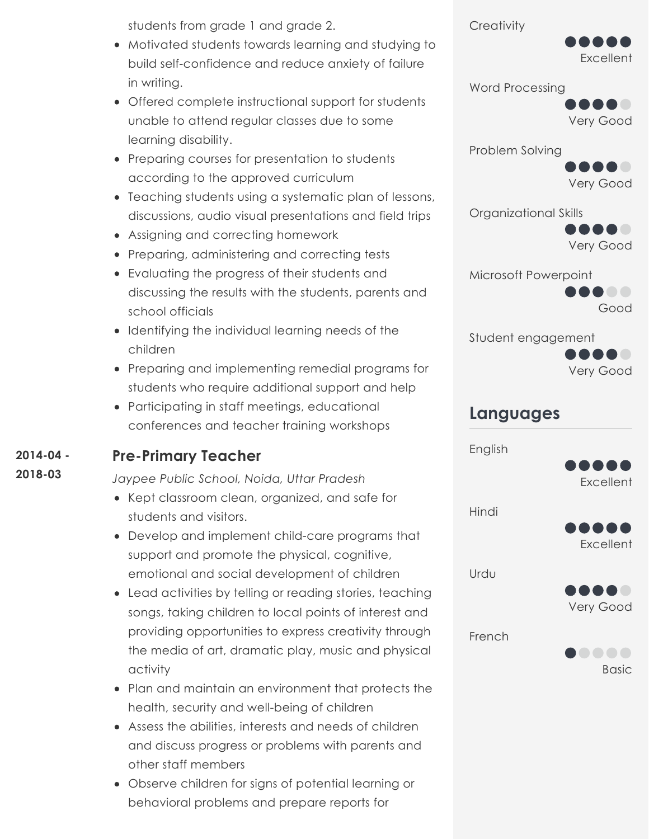students from grade 1 and grade 2.

- Motivated students towards learning and studying to build self-confidence and reduce anxiety of failure in writing.
- Offered complete instructional support for students unable to attend regular classes due to some learning disability.
- Preparing courses for presentation to students according to the approved curriculum
- Teaching students using a systematic plan of lessons, discussions, audio visual presentations and field trips
- Assigning and correcting homework
- Preparing, administering and correcting tests
- Evaluating the progress of their students and discussing the results with the students, parents and school officials
- Identifying the individual learning needs of the children
- Preparing and implementing remedial programs for students who require additional support and help
- Participating in staff meetings, educational conferences and teacher training workshops

#### **Pre-Primary Teacher 2014-04 -**

**2018-03**

*Jaypee Public School, Noida, Uttar Pradesh*

- Kept classroom clean, organized, and safe for students and visitors.
- Develop and implement child-care programs that support and promote the physical, cognitive, emotional and social development of children
- Lead activities by telling or reading stories, teaching songs, taking children to local points of interest and providing opportunities to express creativity through the media of art, dramatic play, music and physical activity
- Plan and maintain an environment that protects the health, security and well-being of children
- Assess the abilities, interests and needs of children and discuss progress or problems with parents and other staff members
- Observe children for signs of potential learning or behavioral problems and prepare reports for

**Creativity** 



Word Processing

Very Good

Problem Solving

Very Good

Organizational Skills



Microsoft Powerpoint



Student engagement



### **Languages**

English



Hindi



Urdu



French

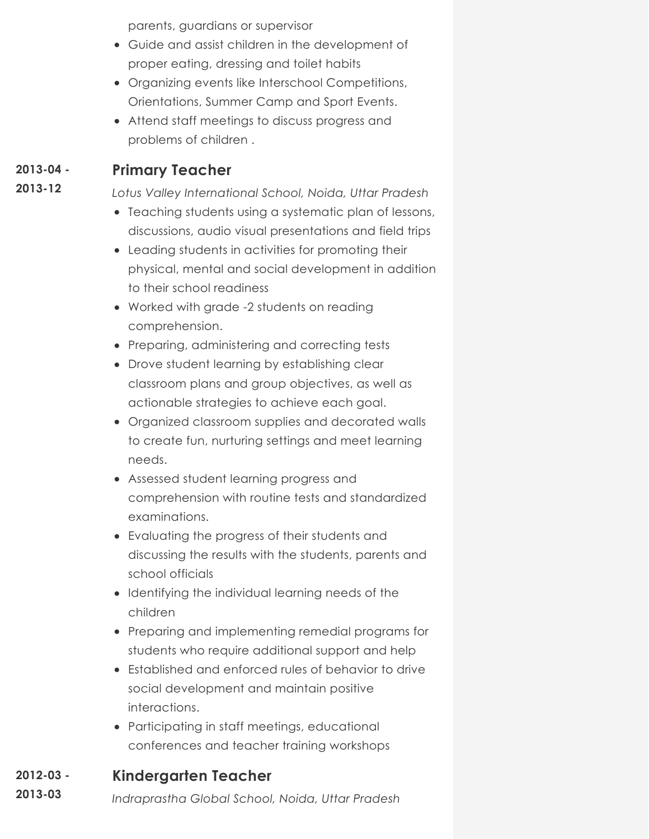parents, guardians or supervisor

- Guide and assist children in the development of proper eating, dressing and toilet habits
- Organizing events like Interschool Competitions, Orientations, Summer Camp and Sport Events.
- Attend staff meetings to discuss progress and problems of children .

#### **Primary Teacher 2013-04 -**

**2013-12**

*Lotus Valley International School, Noida, Uttar Pradesh*

- Teaching students using a systematic plan of lessons, discussions, audio visual presentations and field trips
- Leading students in activities for promoting their physical, mental and social development in addition to their school readiness
- Worked with grade -2 students on reading comprehension.
- Preparing, administering and correcting tests
- Drove student learning by establishing clear classroom plans and group objectives, as well as actionable strategies to achieve each goal.
- Organized classroom supplies and decorated walls to create fun, nurturing settings and meet learning needs.
- Assessed student learning progress and comprehension with routine tests and standardized examinations.
- Evaluating the progress of their students and discussing the results with the students, parents and school officials
- **•** Identifying the individual learning needs of the children
- Preparing and implementing remedial programs for students who require additional support and help
- Established and enforced rules of behavior to drive social development and maintain positive interactions.
- Participating in staff meetings, educational conferences and teacher training workshops

#### **Kindergarten Teacher 2012-03 -**

*Indraprastha Global School, Noida, Uttar Pradesh* **2013-03**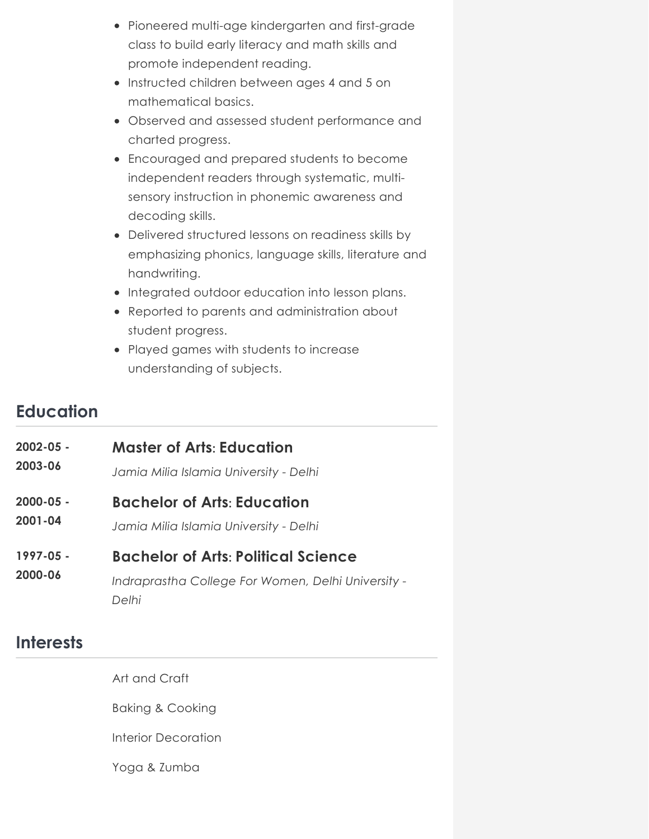- Pioneered multi-age kindergarten and first-grade class to build early literacy and math skills and promote independent reading.
- Instructed children between ages 4 and 5 on mathematical basics.
- Observed and assessed student performance and charted progress.
- Encouraged and prepared students to become independent readers through systematic, multisensory instruction in phonemic awareness and decoding skills.
- Delivered structured lessons on readiness skills by emphasizing phonics, language skills, literature and handwriting.
- Integrated outdoor education into lesson plans.
- Reported to parents and administration about student progress.
- Played games with students to increase understanding of subjects.

### **Education**

| $2002 - 05 -$        | <b>Master of Arts: Education</b>                                                                          |
|----------------------|-----------------------------------------------------------------------------------------------------------|
| 2003-06              | Jamia Milia Islamia University - Delhi                                                                    |
| $2000 - 05 -$        | <b>Bachelor of Arts: Education</b>                                                                        |
| $2001 - 04$          | Jamia Milia Islamia University - Delhi                                                                    |
| 1997-05 -<br>2000-06 | <b>Bachelor of Arts: Political Science</b><br>Indraprastha College For Women, Delhi University -<br>Delhi |

### **Interests**

Art and Craft

Baking & Cooking

Interior Decoration

Yoga & Zumba